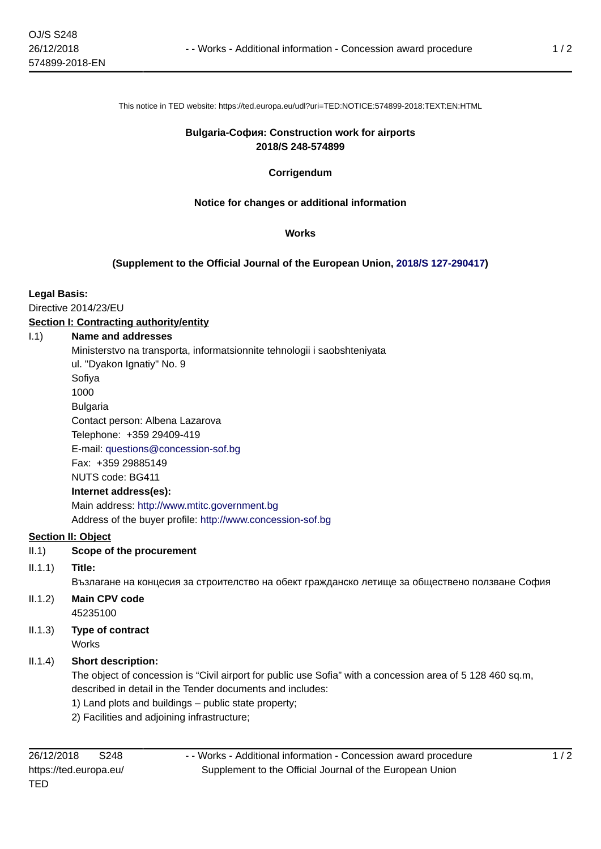This notice in TED website: https://ted.europa.eu/udl?uri=TED:NOTICE:574899-2018:TEXT:EN:HTML

#### **Bulgaria-София: Construction work for airports 2018/S 248-574899**

#### **Corrigendum**

#### **Notice for changes or additional information**

#### **Works**

#### **(Supplement to the Official Journal of the European Union, [2018/S 127-290417\)](https://ted.europa.eu/udl?uri=TED:NOTICE:290417-2018:TEXT:EN:HTML)**

#### **Legal Basis:**

Directive 2014/23/EU

## **Section I: Contracting authority/entity**

#### I.1) **Name and addresses**

Ministerstvo na transporta, informatsionnite tehnologii i saobshteniyata

ul. "Dyakon Ignatiy" No. 9

Sofiya

1000

Bulgaria

Contact person: Albena Lazarova

Telephone: +359 29409-419

E-mail: [questions@concession-sof.bg](mailto:questions@concession-sof.bg) 

Fax: +359 29885149

NUTS code: BG411

## **Internet address(es):**

Main address:<http://www.mtitc.government.bg> Address of the buyer profile: <http://www.concession-sof.bg>

## **Section II: Object**

- II.1) **Scope of the procurement**
- II.1.1) **Title:**

Възлагане на концесия за строителство на обект гражданско летище за обществено ползване София

- II.1.2) **Main CPV code** 45235100
- II.1.3) **Type of contract** Works

## II.1.4) **Short description:**

The object of concession is "Civil airport for public use Sofia" with a concession area of 5 128 460 sq.m, described in detail in the Tender documents and includes:

1) Land plots and buildings – public state property;

2) Facilities and adjoining infrastructure;